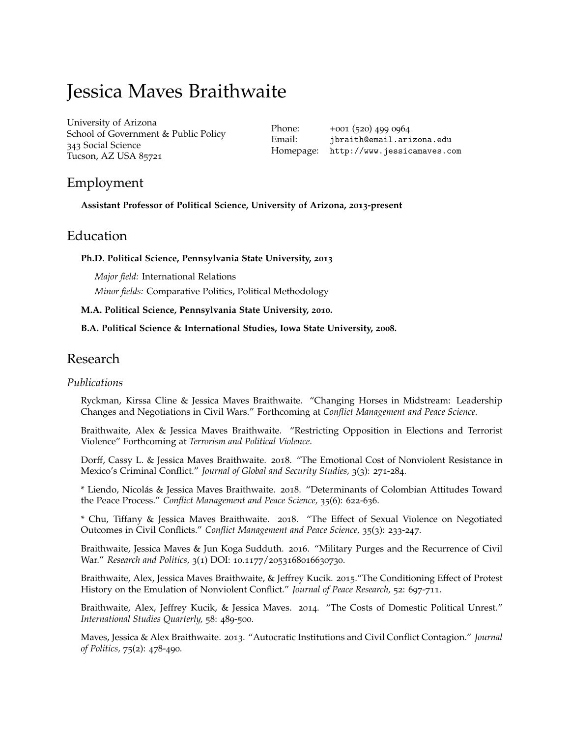# Jessica Maves Braithwaite

[University of Arizona](http://www.arizona.edu) School of Government & Public Policy 343 Social Science Tucson, AZ USA 85721

Phone: +001 (520) 499 0964 Email: [jbraith@email.arizona.edu](mailto:jbraith@email.arizona.edu) Homepage: <http://www.jessicamaves.com>

# Employment

**Assistant Professor of Political Science, University of Arizona, 2013-present**

### Education

**Ph.D. Political Science, Pennsylvania State University, 2013**

*Major field:* International Relations *Minor fields:* Comparative Politics, Political Methodology

#### **M.A. Political Science, Pennsylvania State University, 2010.**

#### **B.A. Political Science & International Studies, Iowa State University, 2008.**

### Research

#### *Publications*

Ryckman, Kirssa Cline & Jessica Maves Braithwaite. "Changing Horses in Midstream: Leadership Changes and Negotiations in Civil Wars." Forthcoming at *Conflict Management and Peace Science.*

Braithwaite, Alex & Jessica Maves Braithwaite. "Restricting Opposition in Elections and Terrorist Violence" Forthcoming at *Terrorism and Political Violence*.

Dorff, Cassy L. & Jessica Maves Braithwaite. 2018. "The Emotional Cost of Nonviolent Resistance in Mexico's Criminal Conflict." *Journal of Global and Security Studies,* 3(3): 271-284.

\* Liendo, Nicolás & Jessica Maves Braithwaite. 2018. "Determinants of Colombian Attitudes Toward the Peace Process." *Conflict Management and Peace Science,* 35(6): 622-636.

\* Chu, Tiffany & Jessica Maves Braithwaite. 2018. "The Effect of Sexual Violence on Negotiated Outcomes in Civil Conflicts." *Conflict Management and Peace Science,* 35(3): 233-247.

Braithwaite, Jessica Maves & Jun Koga Sudduth. 2016. "Military Purges and the Recurrence of Civil War." *Research and Politics,* 3(1) DOI: 10.1177/2053168016630730.

Braithwaite, Alex, Jessica Maves Braithwaite, & Jeffrey Kucik. 2015."The Conditioning Effect of Protest History on the Emulation of Nonviolent Conflict." *Journal of Peace Research,* 52: 697-711.

Braithwaite, Alex, Jeffrey Kucik, & Jessica Maves. 2014. "The Costs of Domestic Political Unrest." *International Studies Quarterly,* 58: 489-500.

Maves, Jessica & Alex Braithwaite. 2013. "Autocratic Institutions and Civil Conflict Contagion." *Journal of Politics,* 75(2): 478-490.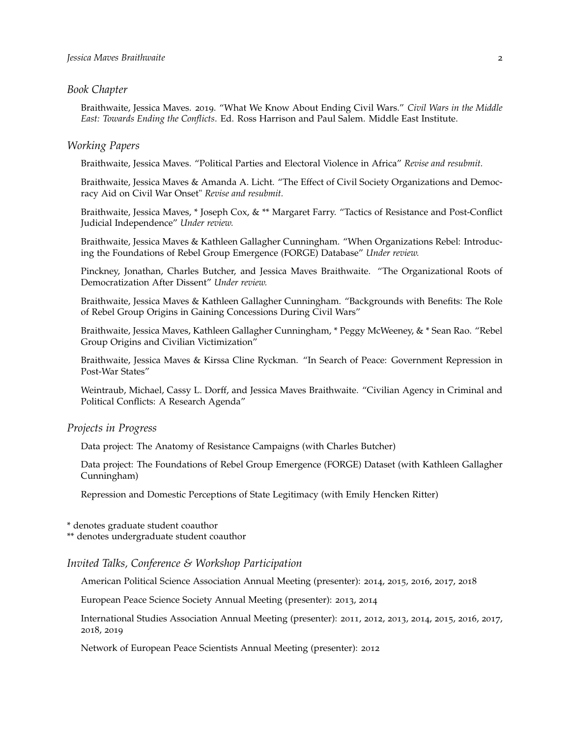#### *Book Chapter*

Braithwaite, Jessica Maves. 2019. "What We Know About Ending Civil Wars." *Civil Wars in the Middle East: Towards Ending the Conflicts*. Ed. Ross Harrison and Paul Salem. Middle East Institute.

#### *Working Papers*

Braithwaite, Jessica Maves. "Political Parties and Electoral Violence in Africa" *Revise and resubmit.*

Braithwaite, Jessica Maves & Amanda A. Licht. "The Effect of Civil Society Organizations and Democracy Aid on Civil War Onset" *Revise and resubmit.*

Braithwaite, Jessica Maves, \* Joseph Cox, & \*\* Margaret Farry. "Tactics of Resistance and Post-Conflict Judicial Independence" *Under review.*

Braithwaite, Jessica Maves & Kathleen Gallagher Cunningham. "When Organizations Rebel: Introducing the Foundations of Rebel Group Emergence (FORGE) Database" *Under review.*

Pinckney, Jonathan, Charles Butcher, and Jessica Maves Braithwaite. "The Organizational Roots of Democratization After Dissent" *Under review.*

Braithwaite, Jessica Maves & Kathleen Gallagher Cunningham. "Backgrounds with Benefits: The Role of Rebel Group Origins in Gaining Concessions During Civil Wars"

Braithwaite, Jessica Maves, Kathleen Gallagher Cunningham, \* Peggy McWeeney, & \* Sean Rao. "Rebel Group Origins and Civilian Victimization"

Braithwaite, Jessica Maves & Kirssa Cline Ryckman. "In Search of Peace: Government Repression in Post-War States"

Weintraub, Michael, Cassy L. Dorff, and Jessica Maves Braithwaite. "Civilian Agency in Criminal and Political Conflicts: A Research Agenda"

#### *Projects in Progress*

Data project: The Anatomy of Resistance Campaigns (with Charles Butcher)

Data project: The Foundations of Rebel Group Emergence (FORGE) Dataset (with Kathleen Gallagher Cunningham)

Repression and Domestic Perceptions of State Legitimacy (with Emily Hencken Ritter)

\* denotes graduate student coauthor

\*\* denotes undergraduate student coauthor

#### *Invited Talks, Conference & Workshop Participation*

American Political Science Association Annual Meeting (presenter): 2014, 2015, 2016, 2017, 2018

European Peace Science Society Annual Meeting (presenter): 2013, 2014

International Studies Association Annual Meeting (presenter): 2011, 2012, 2013, 2014, 2015, 2016, 2017, 2018, 2019

Network of European Peace Scientists Annual Meeting (presenter): 2012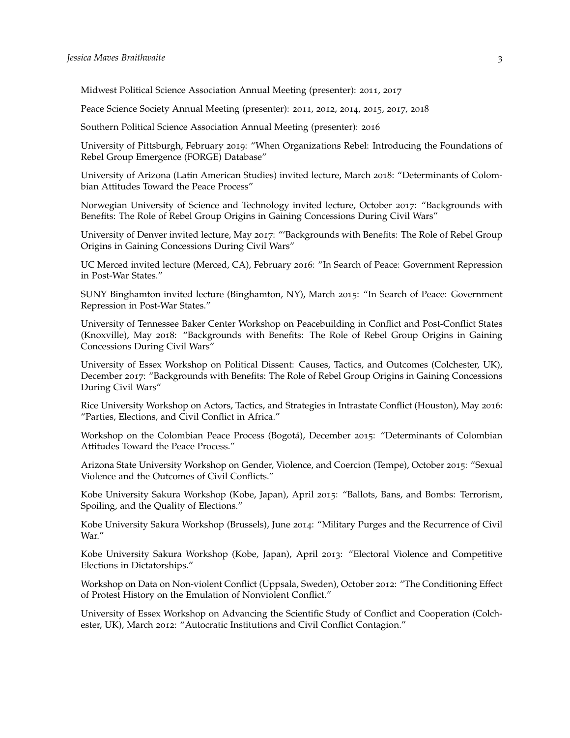Midwest Political Science Association Annual Meeting (presenter): 2011, 2017

Peace Science Society Annual Meeting (presenter): 2011, 2012, 2014, 2015, 2017, 2018

Southern Political Science Association Annual Meeting (presenter): 2016

University of Pittsburgh, February 2019: "When Organizations Rebel: Introducing the Foundations of Rebel Group Emergence (FORGE) Database"

University of Arizona (Latin American Studies) invited lecture, March 2018: "Determinants of Colombian Attitudes Toward the Peace Process"

Norwegian University of Science and Technology invited lecture, October 2017: "Backgrounds with Benefits: The Role of Rebel Group Origins in Gaining Concessions During Civil Wars"

University of Denver invited lecture, May 2017: "'Backgrounds with Benefits: The Role of Rebel Group Origins in Gaining Concessions During Civil Wars"

UC Merced invited lecture (Merced, CA), February 2016: "In Search of Peace: Government Repression in Post-War States."

SUNY Binghamton invited lecture (Binghamton, NY), March 2015: "In Search of Peace: Government Repression in Post-War States."

University of Tennessee Baker Center Workshop on Peacebuilding in Conflict and Post-Conflict States (Knoxville), May 2018: "Backgrounds with Benefits: The Role of Rebel Group Origins in Gaining Concessions During Civil Wars"

University of Essex Workshop on Political Dissent: Causes, Tactics, and Outcomes (Colchester, UK), December 2017: "Backgrounds with Benefits: The Role of Rebel Group Origins in Gaining Concessions During Civil Wars"

Rice University Workshop on Actors, Tactics, and Strategies in Intrastate Conflict (Houston), May 2016: "Parties, Elections, and Civil Conflict in Africa."

Workshop on the Colombian Peace Process (Bogotá), December 2015: "Determinants of Colombian Attitudes Toward the Peace Process."

Arizona State University Workshop on Gender, Violence, and Coercion (Tempe), October 2015: "Sexual Violence and the Outcomes of Civil Conflicts."

Kobe University Sakura Workshop (Kobe, Japan), April 2015: "Ballots, Bans, and Bombs: Terrorism, Spoiling, and the Quality of Elections."

Kobe University Sakura Workshop (Brussels), June 2014: "Military Purges and the Recurrence of Civil War."

Kobe University Sakura Workshop (Kobe, Japan), April 2013: "Electoral Violence and Competitive Elections in Dictatorships."

Workshop on Data on Non-violent Conflict (Uppsala, Sweden), October 2012: "The Conditioning Effect of Protest History on the Emulation of Nonviolent Conflict."

University of Essex Workshop on Advancing the Scientific Study of Conflict and Cooperation (Colchester, UK), March 2012: "Autocratic Institutions and Civil Conflict Contagion."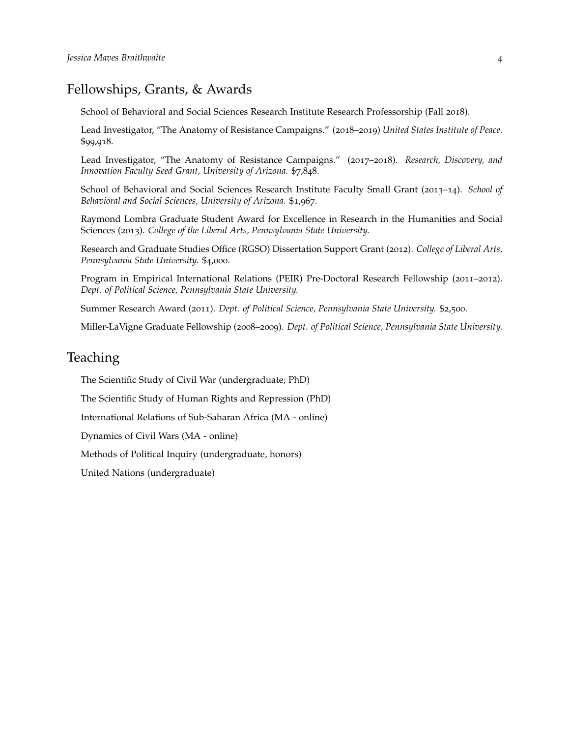# Fellowships, Grants, & Awards

School of Behavioral and Social Sciences Research Institute Research Professorship (Fall 2018).

Lead Investigator, "The Anatomy of Resistance Campaigns." (2018–2019) *United States Institute of Peace.* \$99,918.

Lead Investigator, "The Anatomy of Resistance Campaigns." (2017–2018). *Research, Discovery, and Innovation Faculty Seed Grant, University of Arizona.* \$7,848.

School of Behavioral and Social Sciences Research Institute Faculty Small Grant (2013–14). *School of Behavioral and Social Sciences, University of Arizona.* \$1,967.

Raymond Lombra Graduate Student Award for Excellence in Research in the Humanities and Social Sciences (2013). *College of the Liberal Arts, Pennsylvania State University.*

Research and Graduate Studies Office (RGSO) Dissertation Support Grant (2012). *College of Liberal Arts, Pennsylvania State University.* \$4,000.

Program in Empirical International Relations (PEIR) Pre-Doctoral Research Fellowship (2011–2012). *Dept. of Political Science, Pennsylvania State University.*

Summer Research Award (2011). *Dept. of Political Science, Pennsylvania State University.* \$2,500.

Miller-LaVigne Graduate Fellowship (2008–2009). *Dept. of Political Science, Pennsylvania State University.*

# Teaching

The Scientific Study of Civil War (undergraduate; PhD)

The Scientific Study of Human Rights and Repression (PhD)

International Relations of Sub-Saharan Africa (MA - online)

Dynamics of Civil Wars (MA - online)

Methods of Political Inquiry (undergraduate, honors)

United Nations (undergraduate)